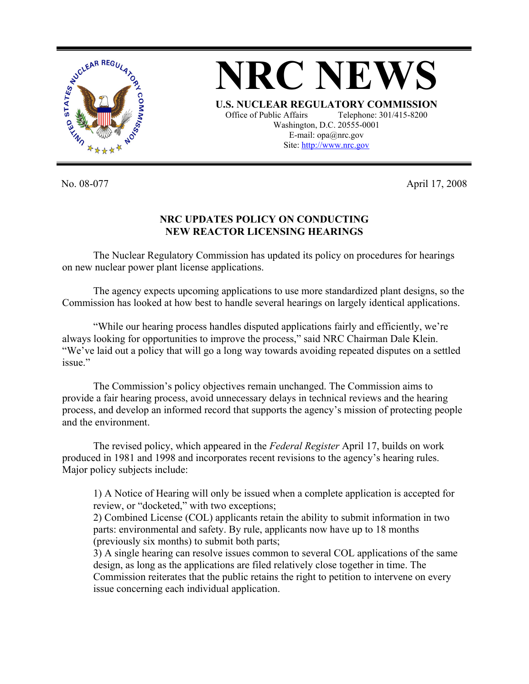

**NRC NEWS U.S. NUCLEAR REGULATORY COMMISSION** Office of Public Affairs Telephone: 301/415-8200 Washington, D.C. 20555-0001 E-mail: opa@nrc.gov Site: http://www.nrc.gov

No. 08-077 April 17, 2008

## **NRC UPDATES POLICY ON CONDUCTING NEW REACTOR LICENSING HEARINGS**

 The Nuclear Regulatory Commission has updated its policy on procedures for hearings on new nuclear power plant license applications.

 The agency expects upcoming applications to use more standardized plant designs, so the Commission has looked at how best to handle several hearings on largely identical applications.

 "While our hearing process handles disputed applications fairly and efficiently, we're always looking for opportunities to improve the process," said NRC Chairman Dale Klein. "We've laid out a policy that will go a long way towards avoiding repeated disputes on a settled issue"

 The Commission's policy objectives remain unchanged. The Commission aims to provide a fair hearing process, avoid unnecessary delays in technical reviews and the hearing process, and develop an informed record that supports the agency's mission of protecting people and the environment.

 The revised policy, which appeared in the *Federal Register* April 17, builds on work produced in 1981 and 1998 and incorporates recent revisions to the agency's hearing rules. Major policy subjects include:

1) A Notice of Hearing will only be issued when a complete application is accepted for review, or "docketed," with two exceptions;

2) Combined License (COL) applicants retain the ability to submit information in two parts: environmental and safety. By rule, applicants now have up to 18 months (previously six months) to submit both parts;

3) A single hearing can resolve issues common to several COL applications of the same design, as long as the applications are filed relatively close together in time. The Commission reiterates that the public retains the right to petition to intervene on every issue concerning each individual application.